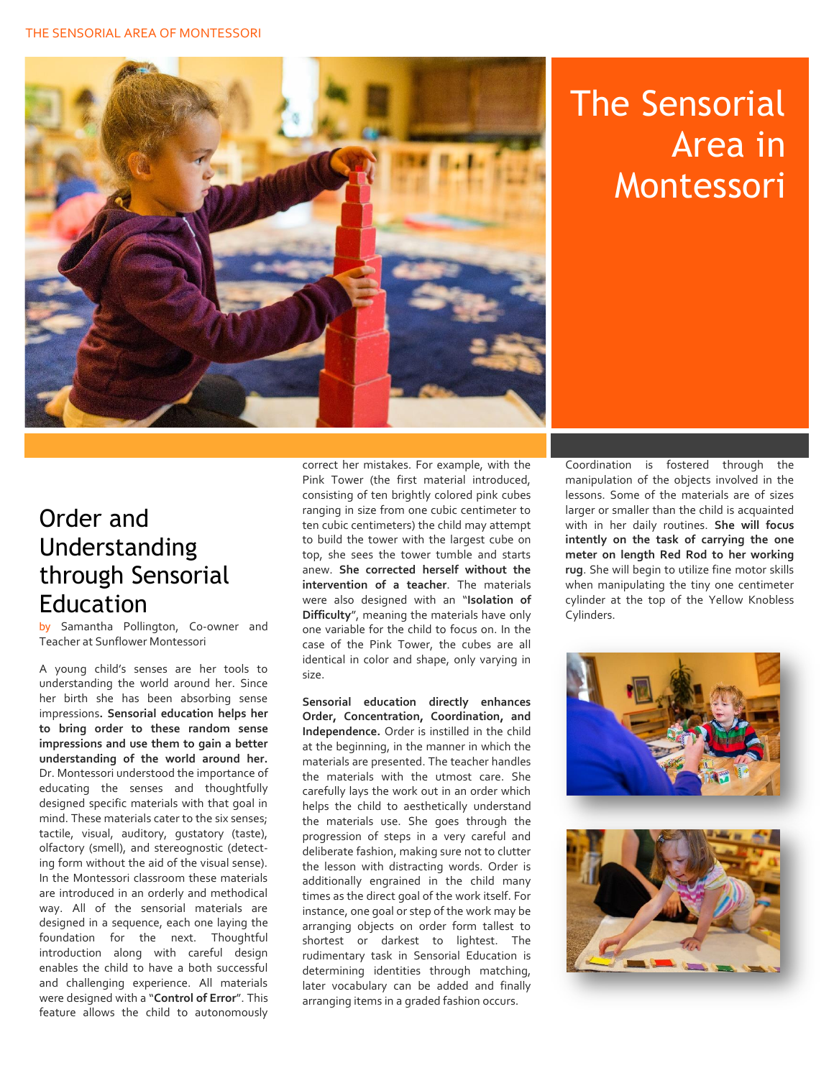

## The Sensorial Area in Montessori

## Order and Understanding through Sensorial Education

by Samantha Pollington, Co-owner and Teacher at Sunflower Montessori

A young child's senses are her tools to understanding the world around her. Since her birth she has been absorbing sense impressions**. Sensorial education helps her to bring order to these random sense impressions and use them to gain a better understanding of the world around her.** Dr. Montessori understood the importance of educating the senses and thoughtfully designed specific materials with that goal in mind. These materials cater to the six senses; tactile, visual, auditory, gustatory (taste), olfactory (smell), and stereognostic (detecting form without the aid of the visual sense). In the Montessori classroom these materials are introduced in an orderly and methodical way. All of the sensorial materials are designed in a sequence, each one laying the foundation for the next. Thoughtful introduction along with careful design enables the child to have a both successful and challenging experience. All materials were designed with a "**Control of Error**". This feature allows the child to autonomously correct her mistakes. For example, with the Pink Tower (the first material introduced, consisting of ten brightly colored pink cubes ranging in size from one cubic centimeter to ten cubic centimeters) the child may attempt to build the tower with the largest cube on top, she sees the tower tumble and starts anew. **She corrected herself without the intervention of a teacher**. The materials were also designed with an "**Isolation of Difficulty**", meaning the materials have only one variable for the child to focus on. In the case of the Pink Tower, the cubes are all identical in color and shape, only varying in size.

**Sensorial education directly enhances Order, Concentration, Coordination, and Independence.** Order is instilled in the child at the beginning, in the manner in which the materials are presented. The teacher handles the materials with the utmost care. She carefully lays the work out in an order which helps the child to aesthetically understand the materials use. She goes through the progression of steps in a very careful and deliberate fashion, making sure not to clutter the lesson with distracting words. Order is additionally engrained in the child many times as the direct goal of the work itself. For instance, one goal or step of the work may be arranging objects on order form tallest to shortest or darkest to lightest. The rudimentary task in Sensorial Education is determining identities through matching, later vocabulary can be added and finally arranging items in a graded fashion occurs.

Coordination is fostered through the manipulation of the objects involved in the lessons. Some of the materials are of sizes larger or smaller than the child is acquainted with in her daily routines. **She will focus intently on the task of carrying the one meter on length Red Rod to her working rug**. She will begin to utilize fine motor skills when manipulating the tiny one centimeter cylinder at the top of the Yellow Knobless Cylinders.